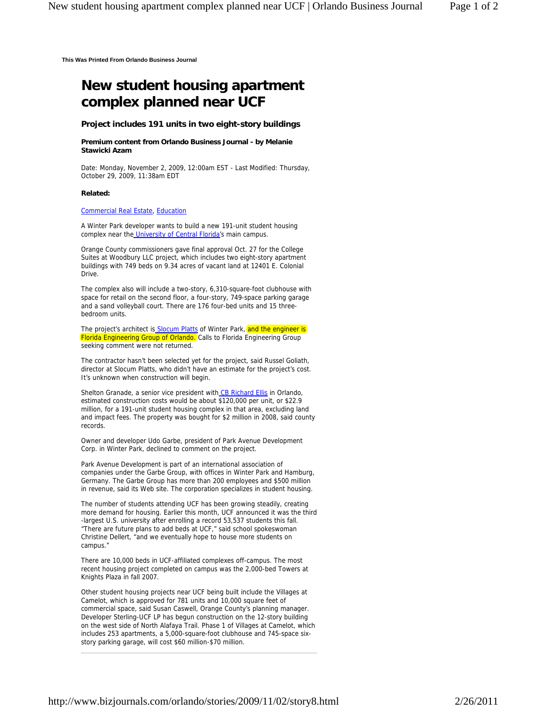**This Was Printed From Orlando Business Journal**

# **New student housing apartment complex planned near UCF**

## **Project includes 191 units in two eight-story buildings**

## **Premium content from Orlando Business Journal - by Melanie Stawicki Azam**

Date: Monday, November 2, 2009, 12:00am EST - Last Modified: Thursday, October 29, 2009, 11:38am EDT

## **Related:**

## Commercial Real Estate, Education

A Winter Park developer wants to build a new 191-unit student housing complex near the University of Central Florida's main campus.

Orange County commissioners gave final approval Oct. 27 for the College Suites at Woodbury LLC project, which includes two eight-story apartment buildings with 749 beds on 9.34 acres of vacant land at 12401 E. Colonial Drive.

The complex also will include a two-story, 6,310-square-foot clubhouse with space for retail on the second floor, a four-story, 749-space parking garage and a sand volleyball court. There are 176 four-bed units and 15 threebedroom units.

The project's architect is **Slocum Platts** of Winter Park, and the engineer is Florida Engineering Group of Orlando. Calls to Florida Engineering Group seeking comment were not returned.

The contractor hasn't been selected yet for the project, said Russel Goliath, director at Slocum Platts, who didn't have an estimate for the project's cost. It's unknown when construction will begin.

Shelton Granade, a senior vice president with CB Richard Ellis in Orlando, estimated construction costs would be about \$120,000 per unit, or \$22.9 million, for a 191-unit student housing complex in that area, excluding land and impact fees. The property was bought for \$2 million in 2008, said county records.

Owner and developer Udo Garbe, president of Park Avenue Development Corp. in Winter Park, declined to comment on the project.

Park Avenue Development is part of an international association of companies under the Garbe Group, with offices in Winter Park and Hamburg, Germany. The Garbe Group has more than 200 employees and \$500 million in revenue, said its Web site. The corporation specializes in student housing.

The number of students attending UCF has been growing steadily, creating more demand for housing. Earlier this month, UCF announced it was the third -largest U.S. university after enrolling a record 53,537 students this fall. "There are future plans to add beds at UCF," said school spokeswoman Christine Dellert, "and we eventually hope to house more students on campus."

There are 10,000 beds in UCF-affiliated complexes off-campus. The most recent housing project completed on campus was the 2,000-bed Towers at Knights Plaza in fall 2007.

Other student housing projects near UCF being built include the Villages at Camelot, which is approved for 781 units and 10,000 square feet of commercial space, said Susan Caswell, Orange County's planning manager. Developer Sterling-UCF LP has begun construction on the 12-story building on the west side of North Alafaya Trail. Phase 1 of Villages at Camelot, which includes 253 apartments, a 5,000-square-foot clubhouse and 745-space sixstory parking garage, will cost \$60 million-\$70 million.